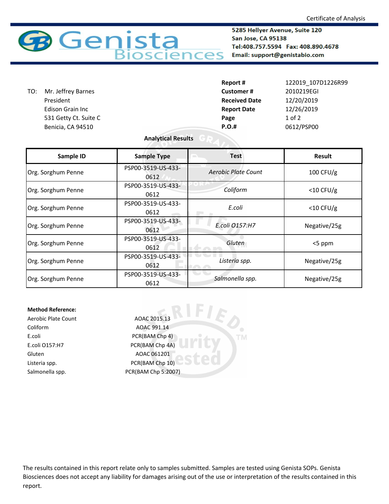

5285 Hellyer Avenue, Suite 120 San Jose, CA 95138 Tel:408.757.5594 Fax: 408.890.4678 Email: support@genistabio.com

| Report #             | 122019 107D1226R99 |
|----------------------|--------------------|
| <b>Customer#</b>     | 2010219EGI         |
| <b>Received Date</b> | 12/20/2019         |
| <b>Report Date</b>   | 12/26/2019         |
| Page                 | $1$ of $2$         |
| <b>P.O.#</b>         | 0612/PSP00         |
|                      |                    |

## **Analytical Results**

| Sample ID          | <b>Sample Type</b>         | <b>Test</b>         | <b>Result</b> |
|--------------------|----------------------------|---------------------|---------------|
| Org. Sorghum Penne | PSP00-3519-US-433-<br>0612 | Aerobic Plate Count | $100$ CFU/g   |
| Org. Sorghum Penne | PSP00-3519-US-433-<br>0612 | Coliform            | $<$ 10 CFU/g  |
| Org. Sorghum Penne | PSP00-3519-US-433-<br>0612 | E.coli              | $<$ 10 CFU/g  |
| Org. Sorghum Penne | PSP00-3519-US-433-<br>0612 | E.coli 0157:H7      | Negative/25g  |
| Org. Sorghum Penne | PSP00-3519-US-433-<br>0612 | Gluten              | <5 ppm        |
| Org. Sorghum Penne | PSP00-3519-US-433-<br>0612 | Listeria spp.       | Negative/25g  |
| Org. Sorghum Penne | PSP00-3519-US-433-<br>0612 | Salmonella spp.     | Negative/25g  |

**TM** 

## **Method Reference:**

Coliform AOAC 991.14 E.coli PCR(BAM Chp 4) E.coli O157:H7 PCR(BAM Chp 4A) Gluten AOAC 061201 Listeria spp. The CR(BAM Chp 10)

Aerobic Plate Count AOAC 2015.13 Salmonella spp. PCR(BAM Chp 5:2007)

The results contained in this report relate only to samples submitted. Samples are tested using Genista SOPs. Genista Biosciences does not accept any liability for damages arising out of the use or interpretation of the results contained in this report.